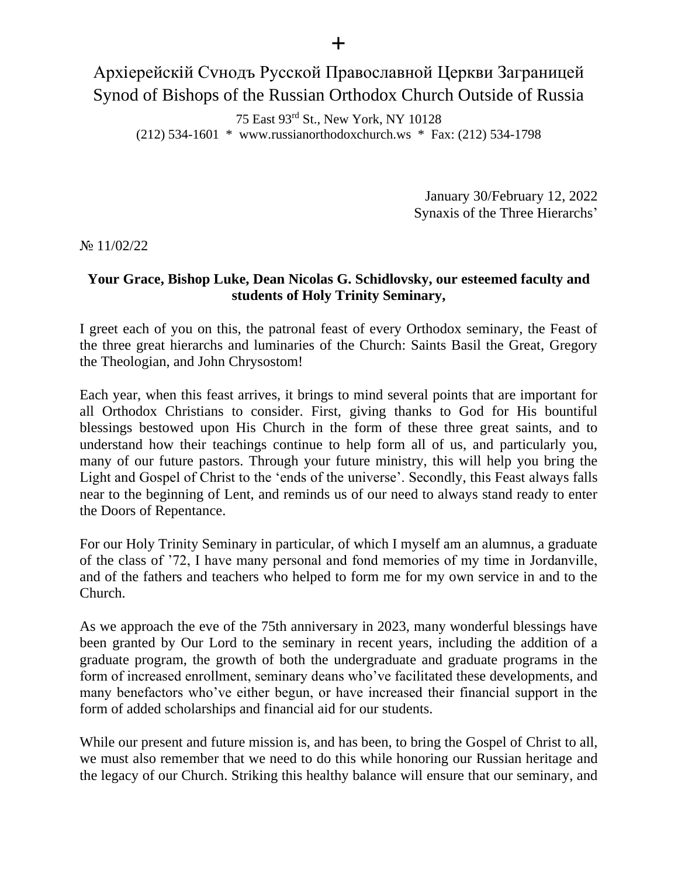## Архіерейскій Сvнодъ Русской Православной Церкви Заграницей Synod of Bishops of the Russian Orthodox Church Outside of Russia

75 East 93rd St., New York, NY 10128 (212) 534-1601 \* www.russianorthodoxchurch.ws \* Fax: (212) 534-1798

> January 30/February 12, 2022 Synaxis of the Three Hierarchs'

№ 11/02/22

## **Your Grace, Bishop Luke, Dean Nicolas G. Schidlovsky, our esteemed faculty and students of Holy Trinity Seminary,**

I greet each of you on this, the patronal feast of every Orthodox seminary, the Feast of the three great hierarchs and luminaries of the Church: Saints Basil the Great, Gregory the Theologian, and John Chrysostom!

Each year, when this feast arrives, it brings to mind several points that are important for all Orthodox Christians to consider. First, giving thanks to God for His bountiful blessings bestowed upon His Church in the form of these three great saints, and to understand how their teachings continue to help form all of us, and particularly you, many of our future pastors. Through your future ministry, this will help you bring the Light and Gospel of Christ to the 'ends of the universe'. Secondly, this Feast always falls near to the beginning of Lent, and reminds us of our need to always stand ready to enter the Doors of Repentance.

For our Holy Trinity Seminary in particular, of which I myself am an alumnus, a graduate of the class of '72, I have many personal and fond memories of my time in Jordanville, and of the fathers and teachers who helped to form me for my own service in and to the Church.

As we approach the eve of the 75th anniversary in 2023, many wonderful blessings have been granted by Our Lord to the seminary in recent years, including the addition of a graduate program, the growth of both the undergraduate and graduate programs in the form of increased enrollment, seminary deans who've facilitated these developments, and many benefactors who've either begun, or have increased their financial support in the form of added scholarships and financial aid for our students.

While our present and future mission is, and has been, to bring the Gospel of Christ to all, we must also remember that we need to do this while honoring our Russian heritage and the legacy of our Church. Striking this healthy balance will ensure that our seminary, and